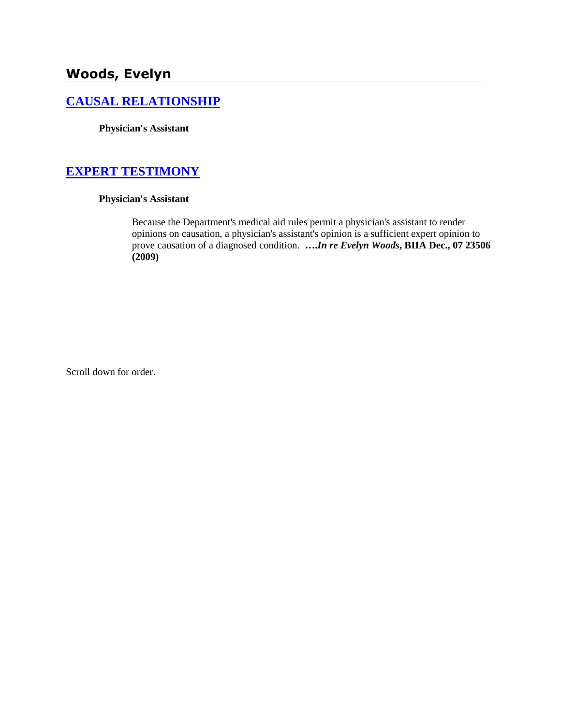# **Woods, Evelyn**

### **[CAUSAL RELATIONSHIP](http://www.biia.wa.gov/SDSubjectIndex.html#CAUSAL_RELATIONSHIP/)**

**Physician's Assistant**

### **[EXPERT TESTIMONY](http://www.biia.wa.gov/SDSubjectIndex.html#EXPERT_TESTIMONY)**

### **Physician's Assistant**

Because the Department's medical aid rules permit a physician's assistant to render opinions on causation, a physician's assistant's opinion is a sufficient expert opinion to prove causation of a diagnosed condition. **….***In re Evelyn Woods***, BIIA Dec., 07 23506 (2009)**

Scroll down for order.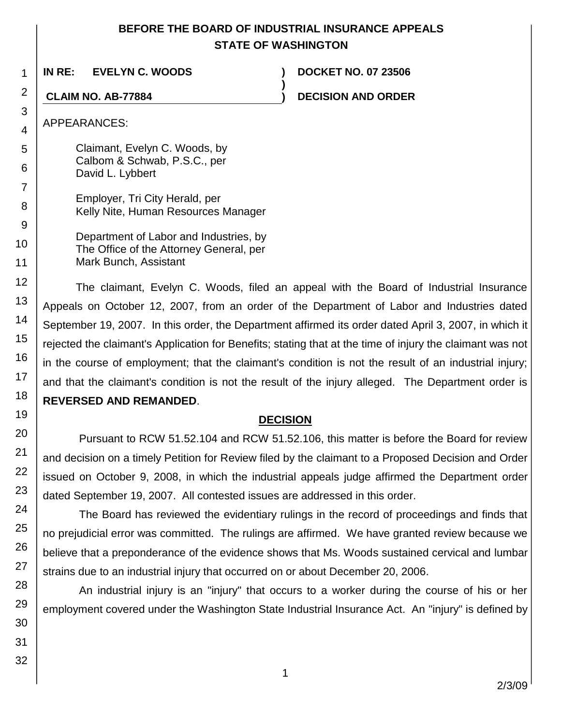## **BEFORE THE BOARD OF INDUSTRIAL INSURANCE APPEALS STATE OF WASHINGTON**

**)**

**IN RE: EVELYN C. WOODS ) DOCKET NO. 07 23506**

**CLAIM NO. AB-77884 ) DECISION AND ORDER**

APPEARANCES:

Claimant, Evelyn C. Woods, by Calbom & Schwab, P.S.C., per David L. Lybbert

Employer, Tri City Herald, per Kelly Nite, Human Resources Manager

Department of Labor and Industries, by The Office of the Attorney General, per Mark Bunch, Assistant

The claimant, Evelyn C. Woods, filed an appeal with the Board of Industrial Insurance Appeals on October 12, 2007, from an order of the Department of Labor and Industries dated September 19, 2007. In this order, the Department affirmed its order dated April 3, 2007, in which it rejected the claimant's Application for Benefits; stating that at the time of injury the claimant was not in the course of employment; that the claimant's condition is not the result of an industrial injury; and that the claimant's condition is not the result of the injury alleged. The Department order is **REVERSED AND REMANDED**.

## **DECISION**

Pursuant to RCW 51.52.104 and RCW 51.52.106, this matter is before the Board for review and decision on a timely Petition for Review filed by the claimant to a Proposed Decision and Order issued on October 9, 2008, in which the industrial appeals judge affirmed the Department order dated September 19, 2007. All contested issues are addressed in this order.

The Board has reviewed the evidentiary rulings in the record of proceedings and finds that no prejudicial error was committed. The rulings are affirmed. We have granted review because we believe that a preponderance of the evidence shows that Ms. Woods sustained cervical and lumbar strains due to an industrial injury that occurred on or about December 20, 2006.

An industrial injury is an "injury" that occurs to a worker during the course of his or her employment covered under the Washington State Industrial Insurance Act. An "injury" is defined by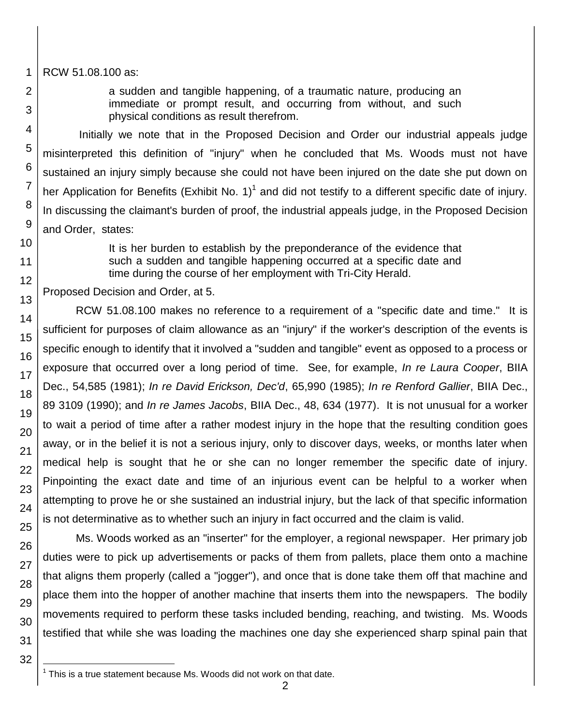RCW 51.08.100 as:

1

2

3

4

5

6

7

8

9 10

11 12

13

14

15

16

17

18

19

20

21

22

23

24

25

26

27

28

29 30 a sudden and tangible happening, of a traumatic nature, producing an immediate or prompt result, and occurring from without, and such physical conditions as result therefrom.

Initially we note that in the Proposed Decision and Order our industrial appeals judge misinterpreted this definition of "injury" when he concluded that Ms. Woods must not have sustained an injury simply because she could not have been injured on the date she put down on her Application for Benefits (Exhibit No. 1)<sup>1</sup> and did not testify to a different specific date of injury. In discussing the claimant's burden of proof, the industrial appeals judge, in the Proposed Decision and Order, states:

> It is her burden to establish by the preponderance of the evidence that such a sudden and tangible happening occurred at a specific date and time during the course of her employment with Tri-City Herald.

Proposed Decision and Order, at 5.

RCW 51.08.100 makes no reference to a requirement of a "specific date and time." It is sufficient for purposes of claim allowance as an "injury" if the worker's description of the events is specific enough to identify that it involved a "sudden and tangible" event as opposed to a process or exposure that occurred over a long period of time. See, for example, *In re Laura Cooper*, BIIA Dec., 54,585 (1981); *In re David Erickson, Dec'd*, 65,990 (1985); *In re Renford Gallier*, BIIA Dec., 89 3109 (1990); and *In re James Jacobs*, BIIA Dec., 48, 634 (1977). It is not unusual for a worker to wait a period of time after a rather modest injury in the hope that the resulting condition goes away, or in the belief it is not a serious injury, only to discover days, weeks, or months later when medical help is sought that he or she can no longer remember the specific date of injury. Pinpointing the exact date and time of an injurious event can be helpful to a worker when attempting to prove he or she sustained an industrial injury, but the lack of that specific information is not determinative as to whether such an injury in fact occurred and the claim is valid.

Ms. Woods worked as an "inserter" for the employer, a regional newspaper. Her primary job duties were to pick up advertisements or packs of them from pallets, place them onto a machine that aligns them properly (called a "jogger"), and once that is done take them off that machine and place them into the hopper of another machine that inserts them into the newspapers. The bodily movements required to perform these tasks included bending, reaching, and twisting. Ms. Woods testified that while she was loading the machines one day she experienced sharp spinal pain that

<sup>31</sup> 32

l 1 This is a true statement because Ms. Woods did not work on that date.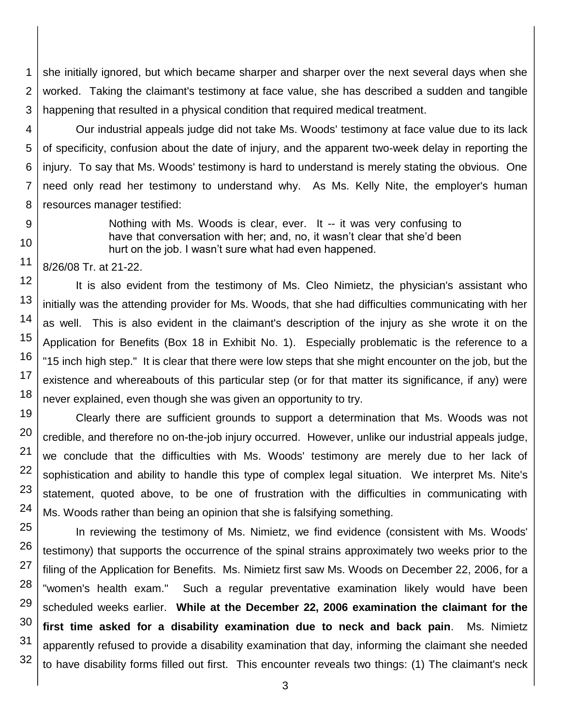1 2 3 she initially ignored, but which became sharper and sharper over the next several days when she worked. Taking the claimant's testimony at face value, she has described a sudden and tangible happening that resulted in a physical condition that required medical treatment.

4 5 6 7 8 Our industrial appeals judge did not take Ms. Woods' testimony at face value due to its lack of specificity, confusion about the date of injury, and the apparent two-week delay in reporting the injury. To say that Ms. Woods' testimony is hard to understand is merely stating the obvious. One need only read her testimony to understand why. As Ms. Kelly Nite, the employer's human resources manager testified:

> Nothing with Ms. Woods is clear, ever. It -- it was very confusing to have that conversation with her; and, no, it wasn't clear that she'd been hurt on the job. I wasn't sure what had even happened.

8/26/08 Tr. at 21-22.

9

10

11

19

20

21

22

23

24

12 13 14 15 16 17 18 It is also evident from the testimony of Ms. Cleo Nimietz, the physician's assistant who initially was the attending provider for Ms. Woods, that she had difficulties communicating with her as well. This is also evident in the claimant's description of the injury as she wrote it on the Application for Benefits (Box 18 in Exhibit No. 1). Especially problematic is the reference to a "15 inch high step." It is clear that there were low steps that she might encounter on the job, but the existence and whereabouts of this particular step (or for that matter its significance, if any) were never explained, even though she was given an opportunity to try.

Clearly there are sufficient grounds to support a determination that Ms. Woods was not credible, and therefore no on-the-job injury occurred. However, unlike our industrial appeals judge, we conclude that the difficulties with Ms. Woods' testimony are merely due to her lack of sophistication and ability to handle this type of complex legal situation. We interpret Ms. Nite's statement, quoted above, to be one of frustration with the difficulties in communicating with Ms. Woods rather than being an opinion that she is falsifying something.

25 26 27 28 29 30 31 32 In reviewing the testimony of Ms. Nimietz, we find evidence (consistent with Ms. Woods' testimony) that supports the occurrence of the spinal strains approximately two weeks prior to the filing of the Application for Benefits. Ms. Nimietz first saw Ms. Woods on December 22, 2006, for a "women's health exam." Such a regular preventative examination likely would have been scheduled weeks earlier. **While at the December 22, 2006 examination the claimant for the first time asked for a disability examination due to neck and back pain**. Ms. Nimietz apparently refused to provide a disability examination that day, informing the claimant she needed to have disability forms filled out first. This encounter reveals two things: (1) The claimant's neck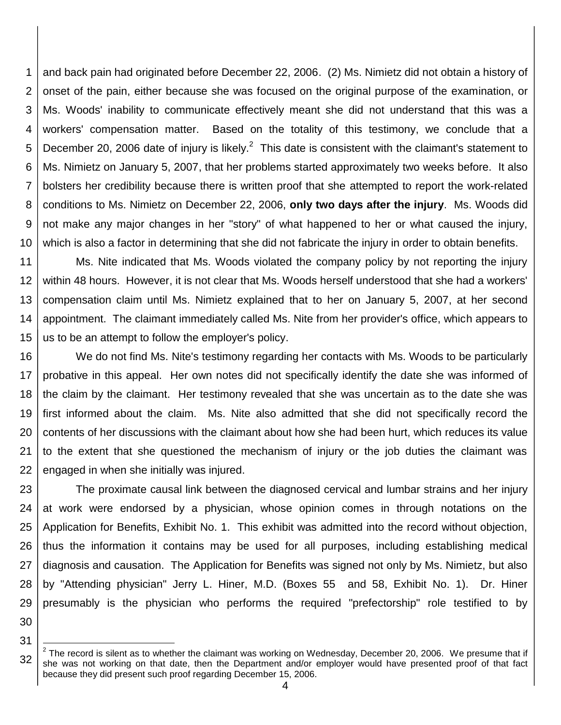1 2 3 4 5 6 7 8 9 10 and back pain had originated before December 22, 2006. (2) Ms. Nimietz did not obtain a history of onset of the pain, either because she was focused on the original purpose of the examination, or Ms. Woods' inability to communicate effectively meant she did not understand that this was a workers' compensation matter. Based on the totality of this testimony, we conclude that a December 20, 2006 date of injury is likely. $^2$  This date is consistent with the claimant's statement to Ms. Nimietz on January 5, 2007, that her problems started approximately two weeks before. It also bolsters her credibility because there is written proof that she attempted to report the work-related conditions to Ms. Nimietz on December 22, 2006, **only two days after the injury**. Ms. Woods did not make any major changes in her "story" of what happened to her or what caused the injury, which is also a factor in determining that she did not fabricate the injury in order to obtain benefits.

11 12 13 14 15 Ms. Nite indicated that Ms. Woods violated the company policy by not reporting the injury within 48 hours. However, it is not clear that Ms. Woods herself understood that she had a workers' compensation claim until Ms. Nimietz explained that to her on January 5, 2007, at her second appointment. The claimant immediately called Ms. Nite from her provider's office, which appears to us to be an attempt to follow the employer's policy.

16 17 18 19 20 21 22 We do not find Ms. Nite's testimony regarding her contacts with Ms. Woods to be particularly probative in this appeal. Her own notes did not specifically identify the date she was informed of the claim by the claimant. Her testimony revealed that she was uncertain as to the date she was first informed about the claim. Ms. Nite also admitted that she did not specifically record the contents of her discussions with the claimant about how she had been hurt, which reduces its value to the extent that she questioned the mechanism of injury or the job duties the claimant was engaged in when she initially was injured.

23 24 25 26 27 28 29 The proximate causal link between the diagnosed cervical and lumbar strains and her injury at work were endorsed by a physician, whose opinion comes in through notations on the Application for Benefits, Exhibit No. 1. This exhibit was admitted into the record without objection, thus the information it contains may be used for all purposes, including establishing medical diagnosis and causation. The Application for Benefits was signed not only by Ms. Nimietz, but also by "Attending physician" Jerry L. Hiner, M.D. (Boxes 55 and 58, Exhibit No. 1). Dr. Hiner presumably is the physician who performs the required "prefectorship" role testified to by

<sup>32</sup> l  $^2$  The record is silent as to whether the claimant was working on Wednesday, December 20, 2006. We presume that if she was not working on that date, then the Department and/or employer would have presented proof of that fact because they did present such proof regarding December 15, 2006.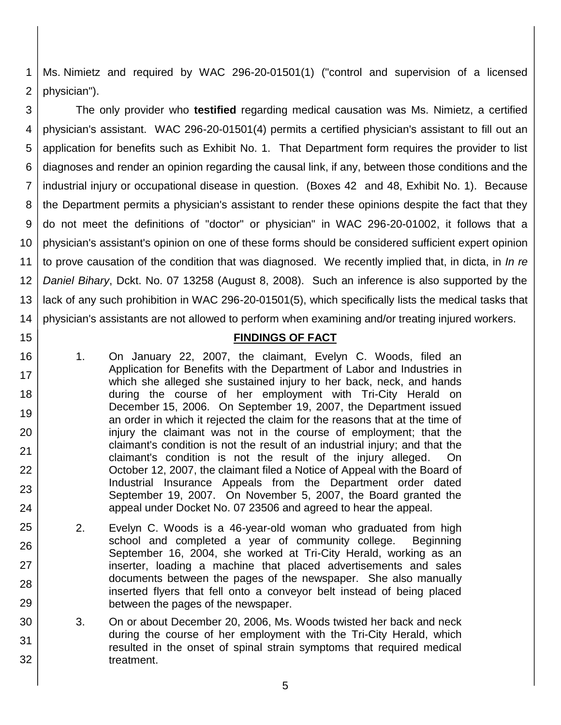1 2 Ms. Nimietz and required by WAC 296-20-01501(1) ("control and supervision of a licensed physician").

3 4 5 6 7 8 9 10 11 12 13 14 The only provider who **testified** regarding medical causation was Ms. Nimietz, a certified physician's assistant. WAC 296-20-01501(4) permits a certified physician's assistant to fill out an application for benefits such as Exhibit No. 1. That Department form requires the provider to list diagnoses and render an opinion regarding the causal link, if any, between those conditions and the industrial injury or occupational disease in question. (Boxes 42 and 48, Exhibit No. 1). Because the Department permits a physician's assistant to render these opinions despite the fact that they do not meet the definitions of "doctor" or physician" in WAC 296-20-01002, it follows that a physician's assistant's opinion on one of these forms should be considered sufficient expert opinion to prove causation of the condition that was diagnosed. We recently implied that, in dicta, in *In re Daniel Bihary*, Dckt. No. 07 13258 (August 8, 2008). Such an inference is also supported by the lack of any such prohibition in WAC 296-20-01501(5), which specifically lists the medical tasks that physician's assistants are not allowed to perform when examining and/or treating injured workers.

### **FINDINGS OF FACT**

1. On January 22, 2007, the claimant, Evelyn C. Woods, filed an Application for Benefits with the Department of Labor and Industries in which she alleged she sustained injury to her back, neck, and hands during the course of her employment with Tri-City Herald on December 15, 2006. On September 19, 2007, the Department issued an order in which it rejected the claim for the reasons that at the time of injury the claimant was not in the course of employment; that the claimant's condition is not the result of an industrial injury; and that the claimant's condition is not the result of the injury alleged. On October 12, 2007, the claimant filed a Notice of Appeal with the Board of Industrial Insurance Appeals from the Department order dated September 19, 2007. On November 5, 2007, the Board granted the appeal under Docket No. 07 23506 and agreed to hear the appeal.

15

16

17

18

19

20

21

22

23

24

25

26

27

28

29

30

31

- 2. Evelyn C. Woods is a 46-year-old woman who graduated from high school and completed a year of community college. Beginning September 16, 2004, she worked at Tri-City Herald, working as an inserter, loading a machine that placed advertisements and sales documents between the pages of the newspaper. She also manually inserted flyers that fell onto a conveyor belt instead of being placed between the pages of the newspaper.
- 3. On or about December 20, 2006, Ms. Woods twisted her back and neck during the course of her employment with the Tri-City Herald, which resulted in the onset of spinal strain symptoms that required medical treatment.